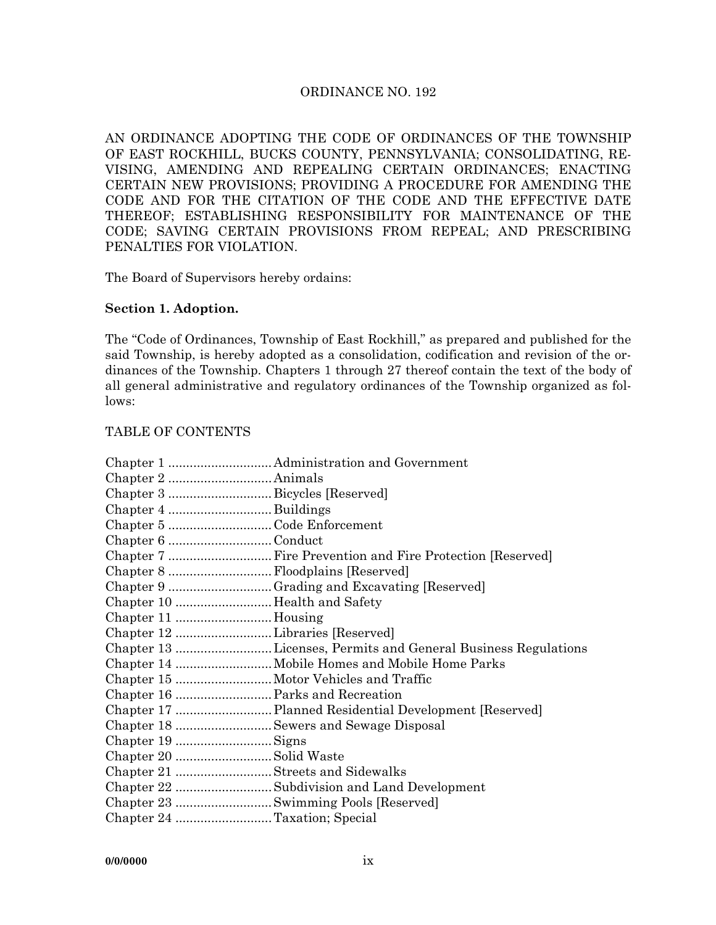#### ORDINANCE NO. 192

AN ORDINANCE ADOPTING THE CODE OF ORDINANCES OF THE TOWNSHIP OF EAST ROCKHILL, BUCKS COUNTY, PENNSYLVANIA; CONSOLIDATING, RE-VISING, AMENDING AND REPEALING CERTAIN ORDINANCES; ENACTING CERTAIN NEW PROVISIONS; PROVIDING A PROCEDURE FOR AMENDING THE CODE AND FOR THE CITATION OF THE CODE AND THE EFFECTIVE DATE THEREOF; ESTABLISHING RESPONSIBILITY FOR MAINTENANCE OF THE CODE; SAVING CERTAIN PROVISIONS FROM REPEAL; AND PRESCRIBING PENALTIES FOR VIOLATION.

The Board of Supervisors hereby ordains:

#### **Section 1. Adoption.**

The "Code of Ordinances, Township of East Rockhill," as prepared and published for the said Township, is hereby adopted as a consolidation, codification and revision of the ordinances of the Township. Chapters 1 through 27 thereof contain the text of the body of all general administrative and regulatory ordinances of the Township organized as follows:

#### TABLE OF CONTENTS

| Chapter 5 Code Enforcement        |                                                               |
|-----------------------------------|---------------------------------------------------------------|
| Chapter 6 Conduct                 |                                                               |
|                                   |                                                               |
| Chapter 8  Floodplains [Reserved] |                                                               |
|                                   |                                                               |
|                                   |                                                               |
|                                   |                                                               |
|                                   |                                                               |
|                                   | Chapter 13 Licenses, Permits and General Business Regulations |
|                                   |                                                               |
|                                   |                                                               |
|                                   |                                                               |
|                                   |                                                               |
|                                   |                                                               |
|                                   |                                                               |
|                                   |                                                               |
|                                   |                                                               |
|                                   | Chapter 22 Subdivision and Land Development                   |
|                                   |                                                               |
| Chapter 24 Taxation; Special      |                                                               |
|                                   |                                                               |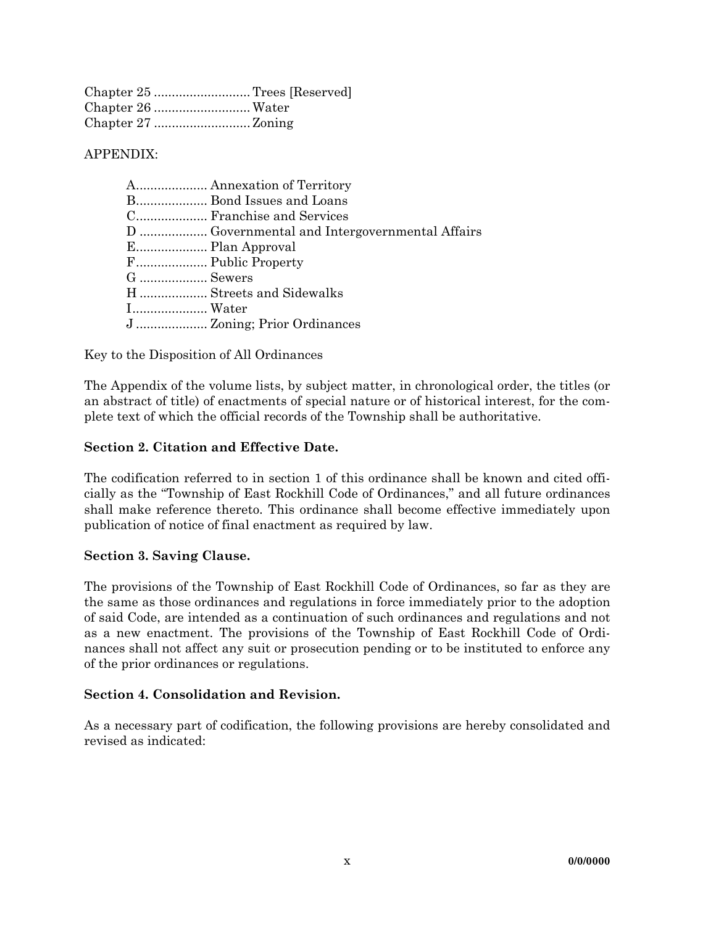| Chapter 25 Trees [Reserved] |
|-----------------------------|
|                             |
|                             |

APPENDIX:

|           | A Annexation of Territory |
|-----------|---------------------------|
|           | B Bond Issues and Loans   |
|           |                           |
|           |                           |
|           |                           |
|           | F Public Property         |
| G  Sewers |                           |
|           | H Streets and Sidewalks   |
| I Water   |                           |
|           |                           |
|           |                           |

Key to the Disposition of All Ordinances

The Appendix of the volume lists, by subject matter, in chronological order, the titles (or an abstract of title) of enactments of special nature or of historical interest, for the complete text of which the official records of the Township shall be authoritative.

## **Section 2. Citation and Effective Date.**

The codification referred to in section 1 of this ordinance shall be known and cited officially as the "Township of East Rockhill Code of Ordinances," and all future ordinances shall make reference thereto. This ordinance shall become effective immediately upon publication of notice of final enactment as required by law.

## **Section 3. Saving Clause.**

The provisions of the Township of East Rockhill Code of Ordinances, so far as they are the same as those ordinances and regulations in force immediately prior to the adoption of said Code, are intended as a continuation of such ordinances and regulations and not as a new enactment. The provisions of the Township of East Rockhill Code of Ordinances shall not affect any suit or prosecution pending or to be instituted to enforce any of the prior ordinances or regulations.

## **Section 4. Consolidation and Revision.**

As a necessary part of codification, the following provisions are hereby consolidated and revised as indicated: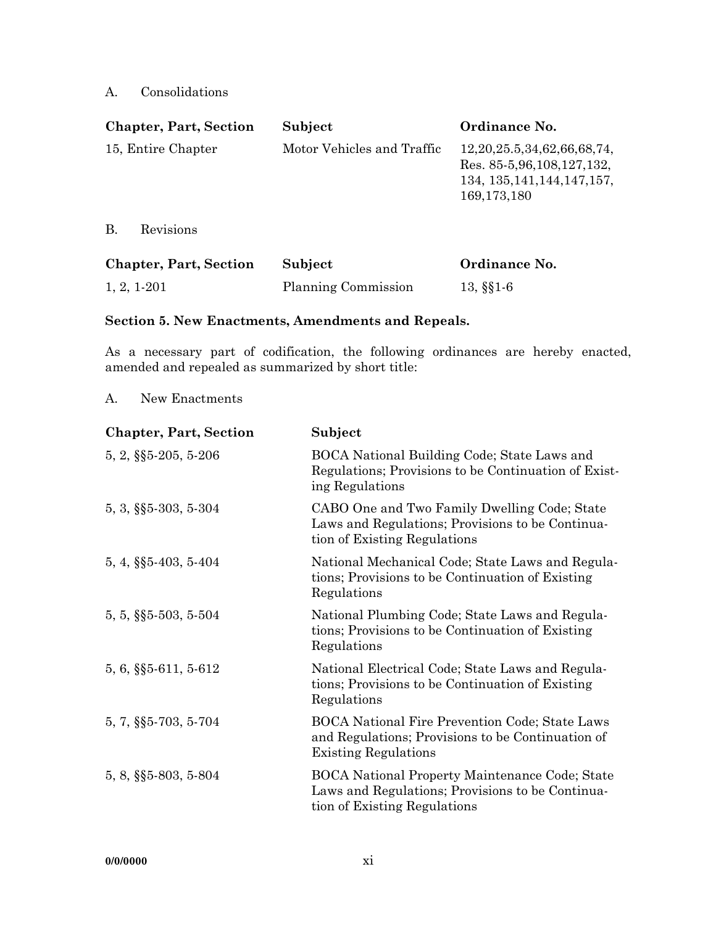## A. Consolidations

| <b>Chapter, Part, Section</b> | Subject                    | Ordinance No.                                                                                                        |
|-------------------------------|----------------------------|----------------------------------------------------------------------------------------------------------------------|
| 15, Entire Chapter            | Motor Vehicles and Traffic | 12, 20, 25.5, 34, 62, 66, 68, 74,<br>Res. 85-5, 96, 108, 127, 132,<br>134, 135, 141, 144, 147, 157,<br>169, 173, 180 |
| В.<br>Revisions               |                            |                                                                                                                      |
|                               |                            |                                                                                                                      |

| <b>Chapter, Part, Section</b> | Subject             | Ordinance No. |
|-------------------------------|---------------------|---------------|
| $1, 2, 1-201$                 | Planning Commission | $13, \S\S1.6$ |

#### **Section 5. New Enactments, Amendments and Repeals.**

As a necessary part of codification, the following ordinances are hereby enacted, amended and repealed as summarized by short title:

A. New Enactments

| <b>Chapter, Part, Section</b> | Subject                                                                                                                                   |
|-------------------------------|-------------------------------------------------------------------------------------------------------------------------------------------|
| $5, 2, \S\$ 5-205, 5-206      | BOCA National Building Code; State Laws and<br>Regulations; Provisions to be Continuation of Exist-<br>ing Regulations                    |
| $5, 3, \S\$ $5-303, 5-304$    | CABO One and Two Family Dwelling Code; State<br>Laws and Regulations; Provisions to be Continua-<br>tion of Existing Regulations          |
| $5, 4, \S\$ $5-403, 5-404$    | National Mechanical Code; State Laws and Regula-<br>tions; Provisions to be Continuation of Existing<br>Regulations                       |
| $5, 5, \S$ §5-503, 5-504      | National Plumbing Code; State Laws and Regula-<br>tions; Provisions to be Continuation of Existing<br>Regulations                         |
| 5, 6, §§5-611, 5-612          | National Electrical Code; State Laws and Regula-<br>tions; Provisions to be Continuation of Existing<br>Regulations                       |
| $5, 7, \S$ §5-703, 5-704      | <b>BOCA National Fire Prevention Code; State Laws</b><br>and Regulations; Provisions to be Continuation of<br><b>Existing Regulations</b> |
| 5, 8, §§5-803, 5-804          | <b>BOCA National Property Maintenance Code; State</b><br>Laws and Regulations; Provisions to be Continua-<br>tion of Existing Regulations |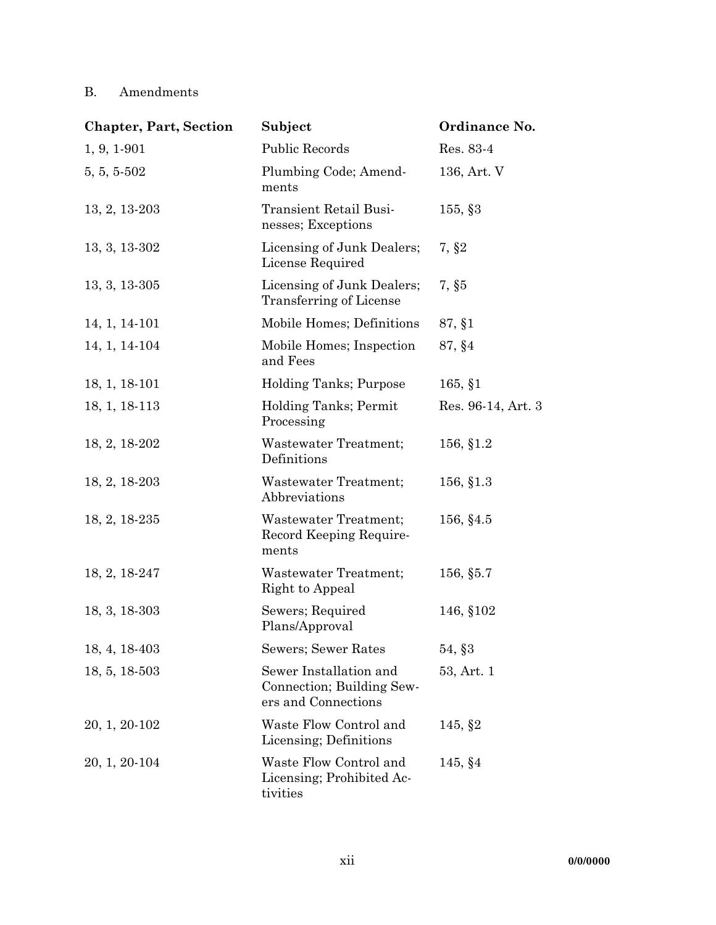# B. Amendments

| <b>Chapter, Part, Section</b> | Subject                                                                    | Ordinance No.      |
|-------------------------------|----------------------------------------------------------------------------|--------------------|
| $1, 9, 1-901$                 | <b>Public Records</b>                                                      | Res. 83-4          |
| 5, 5, 5.502                   | Plumbing Code; Amend-<br>ments                                             | 136, Art. V        |
| $13, 2, 13-203$               | Transient Retail Busi-<br>nesses; Exceptions                               | $155,$ \$3         |
| 13, 3, 13-302                 | Licensing of Junk Dealers;<br>License Required                             | 7, §2              |
| $13, 3, 13-305$               | Licensing of Junk Dealers;<br>Transferring of License                      | 7, §5              |
| 14, 1, 14-101                 | Mobile Homes; Definitions                                                  | 87, §1             |
| 14, 1, 14-104                 | Mobile Homes; Inspection<br>and Fees                                       | 87, §4             |
| 18, 1, 18-101                 | Holding Tanks; Purpose                                                     | $165, \, \S1$      |
| 18, 1, 18-113                 | Holding Tanks; Permit<br>Processing                                        | Res. 96-14, Art. 3 |
| 18, 2, 18-202                 | Wastewater Treatment;<br>Definitions                                       | 156, §1.2          |
| 18, 2, 18-203                 | Wastewater Treatment;<br>Abbreviations                                     | 156, §1.3          |
| $18, 2, 18-235$               | Wastewater Treatment;<br>Record Keeping Require-<br>ments                  | 156, §4.5          |
| 18, 2, 18-247                 | Wastewater Treatment;<br>Right to Appeal                                   | 156, §5.7          |
| $18, 3, 18-303$               | Sewers; Required<br>Plans/Approval                                         | 146, §102          |
| 18, 4, 18-403                 | Sewers; Sewer Rates                                                        | 54, §3             |
| 18, 5, 18-503                 | Sewer Installation and<br>Connection; Building Sew-<br>ers and Connections | 53, Art. 1         |
| 20, 1, 20-102                 | Waste Flow Control and<br>Licensing; Definitions                           | 145, \$2           |
| 20, 1, 20-104                 | Waste Flow Control and<br>Licensing; Prohibited Ac-<br>tivities            | 145, §4            |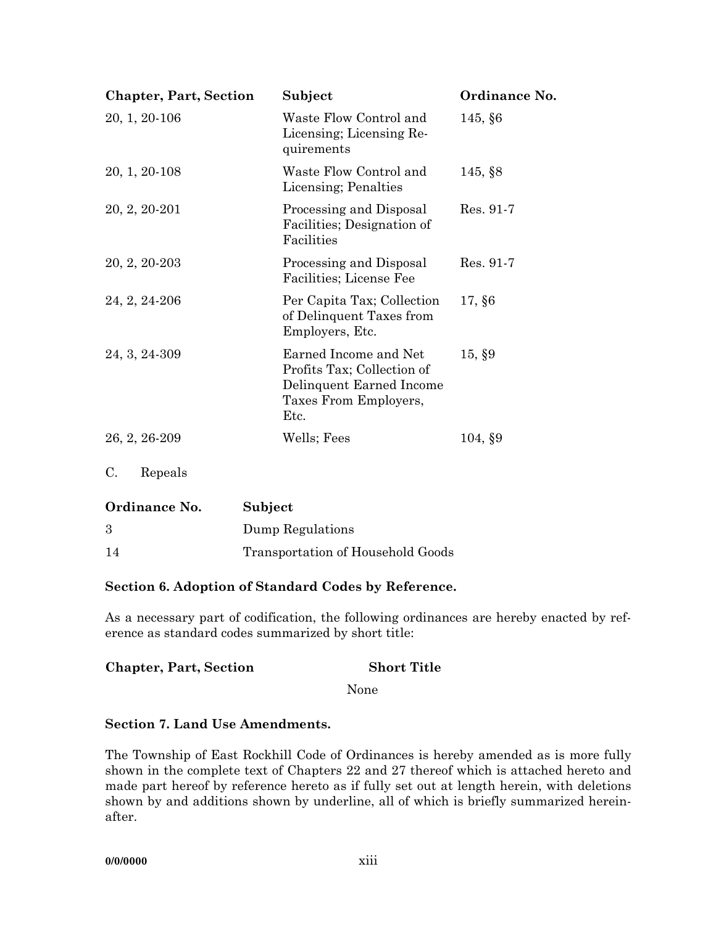| <b>Chapter, Part, Section</b> | Subject                                                                                                          | Ordinance No. |
|-------------------------------|------------------------------------------------------------------------------------------------------------------|---------------|
| 20, 1, 20-106                 | Waste Flow Control and<br>Licensing; Licensing Re-<br>quirements                                                 | 145, §6       |
| 20, 1, 20-108                 | Waste Flow Control and<br>Licensing; Penalties                                                                   | $145,$ \$8    |
| 20, 2, 20-201                 | Processing and Disposal<br>Facilities; Designation of<br>Facilities                                              | Res. 91-7     |
| 20, 2, 20-203                 | Processing and Disposal<br>Facilities; License Fee                                                               | Res. 91-7     |
| 24, 2, 24-206                 | Per Capita Tax; Collection<br>of Delinquent Taxes from<br>Employers, Etc.                                        | 17, §6        |
| 24, 3, 24-309                 | Earned Income and Net<br>Profits Tax; Collection of<br>Delinquent Earned Income<br>Taxes From Employers,<br>Etc. | 15, \$9       |
| 26, 2, 26-209                 | Wells; Fees                                                                                                      | 104, \$9      |
| C.<br>Repeals                 |                                                                                                                  |               |
| Ordinance No.                 | Subject                                                                                                          |               |
| 3                             | Dump Regulations                                                                                                 |               |

# 14 Transportation of Household Goods

## **Section 6. Adoption of Standard Codes by Reference.**

As a necessary part of codification, the following ordinances are hereby enacted by reference as standard codes summarized by short title:

| <b>Short Title</b> |
|--------------------|
|                    |

None

## **Section 7. Land Use Amendments.**

The Township of East Rockhill Code of Ordinances is hereby amended as is more fully shown in the complete text of Chapters 22 and 27 thereof which is attached hereto and made part hereof by reference hereto as if fully set out at length herein, with deletions shown by and additions shown by underline, all of which is briefly summarized hereinafter.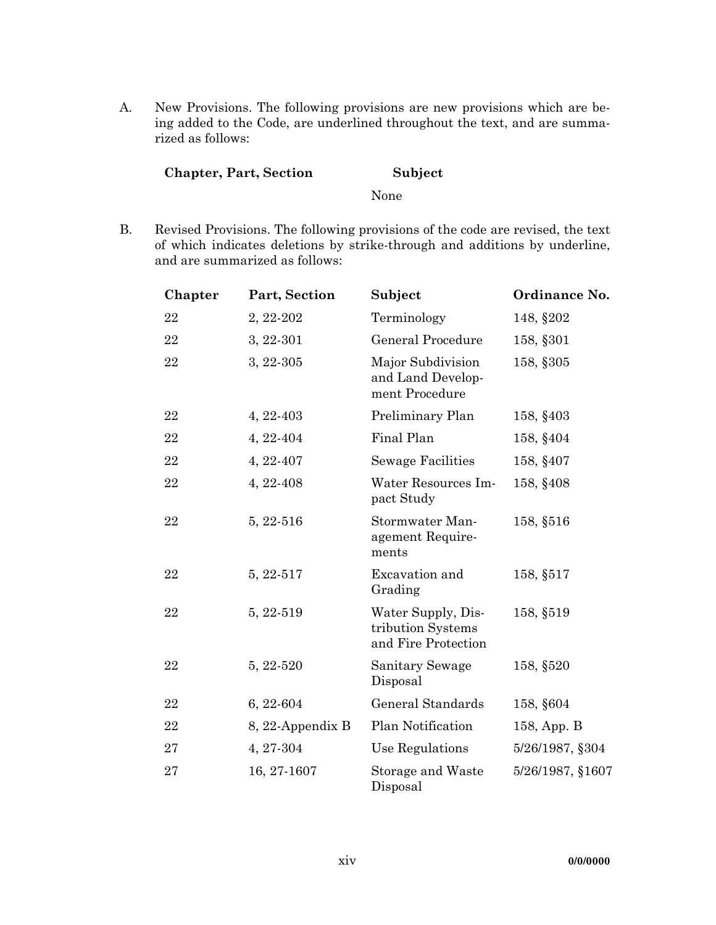A. New Provisions. The following provisions are new provisions which are being added to the Code, are underlined throughout the text, and are summarized as follows:

# **Chapter, Part, Section Subject**

#### None

 B. Revised Provisions. The following provisions of the code are revised, the text of which indicates deletions by strike-through and additions by underline, and are summarized as follows:

| Chapter | Part, Section    | Subject                                                        | Ordinance No.    |
|---------|------------------|----------------------------------------------------------------|------------------|
| 22      | 2, 22-202        | Terminology                                                    | 148, §202        |
| 22      | 3, 22-301        | <b>General Procedure</b>                                       | 158, §301        |
| 22      | 3, 22-305        | Major Subdivision<br>and Land Develop-<br>ment Procedure       | 158, §305        |
| 22      | 4, 22-403        | Preliminary Plan                                               | 158, §403        |
| 22      | 4, 22-404        | Final Plan                                                     | 158, §404        |
| 22      | 4, 22-407        | <b>Sewage Facilities</b>                                       | 158, §407        |
| 22      | 4, 22-408        | Water Resources Im-<br>pact Study                              | 158, §408        |
| 22      | 5, 22-516        | Stormwater Man-<br>agement Require-<br>ments                   | 158, §516        |
| 22      | 5, 22-517        | Excavation and<br>Grading                                      | 158, §517        |
| 22      | 5, 22-519        | Water Supply, Dis-<br>tribution Systems<br>and Fire Protection | 158, §519        |
| 22      | 5, 22-520        | <b>Sanitary Sewage</b><br>Disposal                             | 158, §520        |
| 22      | 6, 22-604        | General Standards                                              | 158, §604        |
| 22      | 8, 22-Appendix B | Plan Notification                                              | 158, App. B      |
| 27      | 4, 27-304        | Use Regulations                                                | 5/26/1987, §304  |
| 27      | 16, 27-1607      | Storage and Waste<br>Disposal                                  | 5/26/1987, §1607 |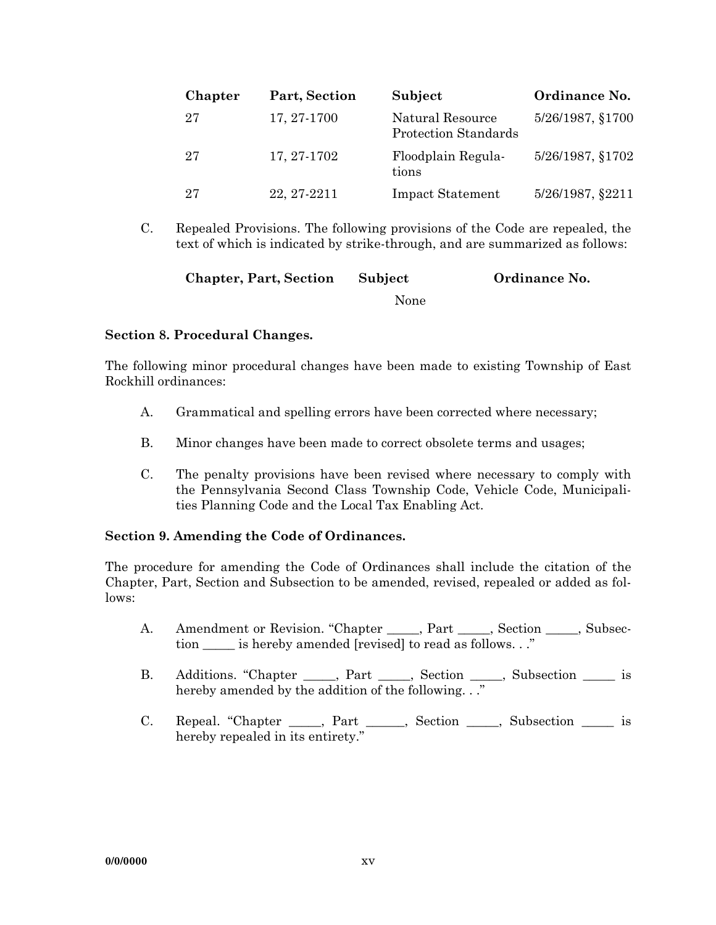| Chapter | Part, Section | Subject                                  | Ordinance No.    |
|---------|---------------|------------------------------------------|------------------|
| 27      | 17, 27-1700   | Natural Resource<br>Protection Standards | 5/26/1987, §1700 |
| 27      | 17, 27-1702   | Floodplain Regula-<br>tions              | 5/26/1987, §1702 |
| 27      | 22, 27-2211   | <b>Impact Statement</b>                  | 5/26/1987, §2211 |

 C. Repealed Provisions. The following provisions of the Code are repealed, the text of which is indicated by strike-through, and are summarized as follows:

| <b>Chapter, Part, Section</b> | Subject | Ordinance No. |
|-------------------------------|---------|---------------|
|                               | None    |               |

#### **Section 8. Procedural Changes.**

The following minor procedural changes have been made to existing Township of East Rockhill ordinances:

- A. Grammatical and spelling errors have been corrected where necessary;
- B. Minor changes have been made to correct obsolete terms and usages;
- C. The penalty provisions have been revised where necessary to comply with the Pennsylvania Second Class Township Code, Vehicle Code, Municipalities Planning Code and the Local Tax Enabling Act.

#### **Section 9. Amending the Code of Ordinances.**

The procedure for amending the Code of Ordinances shall include the citation of the Chapter, Part, Section and Subsection to be amended, revised, repealed or added as follows:

- A. Amendment or Revision. "Chapter \_\_\_\_\_, Part \_\_\_\_\_, Section \_\_\_\_\_, Subsection is hereby amended [revised] to read as follows. . ."
- B. Additions. "Chapter \_\_\_\_, Part \_\_\_\_, Section \_\_\_\_, Subsection \_\_\_\_\_ is hereby amended by the addition of the following. . ."
	- C. Repeal. "Chapter \_\_\_\_, Part \_\_\_\_, Section \_\_\_\_, Subsection \_\_\_\_\_ is hereby repealed in its entirety."